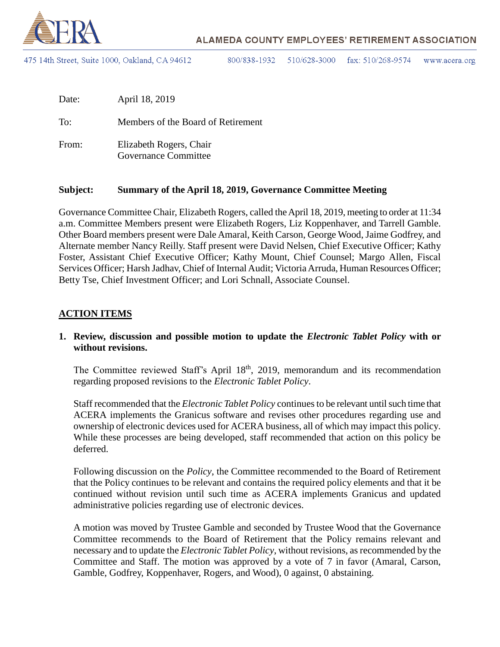

475 14th Street, Suite 1000, Oakland, CA 94612

800/838-1932 510/628-3000 fax:  $510/268-9574$ www.acera.org

| Date: | April 18, 2019                                         |
|-------|--------------------------------------------------------|
| To:   | Members of the Board of Retirement                     |
| From: | Elizabeth Rogers, Chair<br><b>Governance Committee</b> |

#### **Subject: Summary of the April 18, 2019, Governance Committee Meeting**

Governance Committee Chair, Elizabeth Rogers, called the April 18, 2019, meeting to order at 11:34 a.m. Committee Members present were Elizabeth Rogers, Liz Koppenhaver, and Tarrell Gamble. Other Board members present were Dale Amaral, Keith Carson, George Wood, Jaime Godfrey, and Alternate member Nancy Reilly. Staff present were David Nelsen, Chief Executive Officer; Kathy Foster, Assistant Chief Executive Officer; Kathy Mount, Chief Counsel; Margo Allen, Fiscal Services Officer; Harsh Jadhav, Chief of Internal Audit; Victoria Arruda, Human Resources Officer; Betty Tse, Chief Investment Officer; and Lori Schnall, Associate Counsel.

#### **ACTION ITEMS**

#### **1. Review, discussion and possible motion to update the** *Electronic Tablet Policy* **with or without revisions.**

The Committee reviewed Staff's April 18<sup>th</sup>, 2019, memorandum and its recommendation regarding proposed revisions to the *Electronic Tablet Policy*.

Staff recommended that the *Electronic Tablet Policy* continues to be relevant until such time that ACERA implements the Granicus software and revises other procedures regarding use and ownership of electronic devices used for ACERA business, all of which may impact this policy. While these processes are being developed, staff recommended that action on this policy be deferred.

Following discussion on the *Policy*, the Committee recommended to the Board of Retirement that the Policy continues to be relevant and contains the required policy elements and that it be continued without revision until such time as ACERA implements Granicus and updated administrative policies regarding use of electronic devices.

A motion was moved by Trustee Gamble and seconded by Trustee Wood that the Governance Committee recommends to the Board of Retirement that the Policy remains relevant and necessary and to update the *Electronic Tablet Policy*, without revisions, as recommended by the Committee and Staff. The motion was approved by a vote of 7 in favor (Amaral, Carson, Gamble, Godfrey, Koppenhaver, Rogers, and Wood), 0 against, 0 abstaining.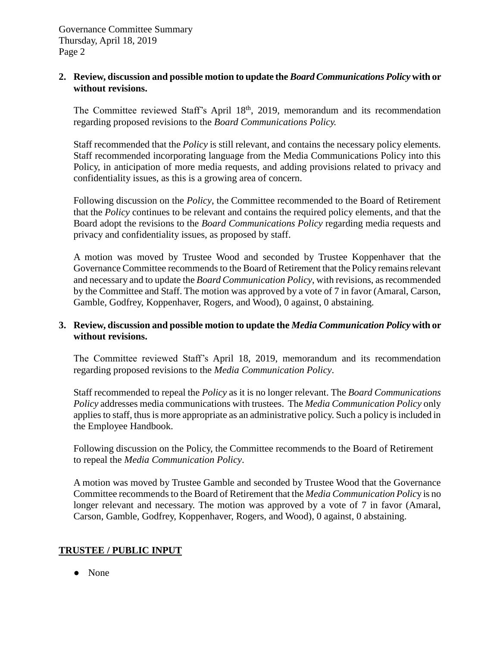#### **2. Review, discussion and possible motion to update the** *Board Communications Policy* **with or without revisions.**

The Committee reviewed Staff's April 18<sup>th</sup>, 2019, memorandum and its recommendation regarding proposed revisions to the *Board Communications Policy.* 

Staff recommended that the *Policy* is still relevant, and contains the necessary policy elements. Staff recommended incorporating language from the Media Communications Policy into this Policy, in anticipation of more media requests, and adding provisions related to privacy and confidentiality issues, as this is a growing area of concern.

Following discussion on the *Policy*, the Committee recommended to the Board of Retirement that the *Policy* continues to be relevant and contains the required policy elements, and that the Board adopt the revisions to the *Board Communications Policy* regarding media requests and privacy and confidentiality issues, as proposed by staff.

A motion was moved by Trustee Wood and seconded by Trustee Koppenhaver that the Governance Committee recommends to the Board of Retirement that the Policy remains relevant and necessary and to update the *Board Communication Policy*, with revisions, as recommended by the Committee and Staff. The motion was approved by a vote of 7 in favor (Amaral, Carson, Gamble, Godfrey, Koppenhaver, Rogers, and Wood), 0 against, 0 abstaining.

### **3. Review, discussion and possible motion to update the** *Media Communication Policy* **with or without revisions.**

The Committee reviewed Staff's April 18, 2019, memorandum and its recommendation regarding proposed revisions to the *Media Communication Policy*.

Staff recommended to repeal the *Policy* as it is no longer relevant. The *Board Communications Policy* addresses media communications with trustees. The *Media Communication Policy* only applies to staff, thus is more appropriate as an administrative policy. Such a policy is included in the Employee Handbook.

Following discussion on the Policy, the Committee recommends to the Board of Retirement to repeal the *Media Communication Policy*.

A motion was moved by Trustee Gamble and seconded by Trustee Wood that the Governance Committee recommends to the Board of Retirement that the *Media Communication Policy* is no longer relevant and necessary. The motion was approved by a vote of 7 in favor (Amaral, Carson, Gamble, Godfrey, Koppenhaver, Rogers, and Wood), 0 against, 0 abstaining.

# **TRUSTEE / PUBLIC INPUT**

● None